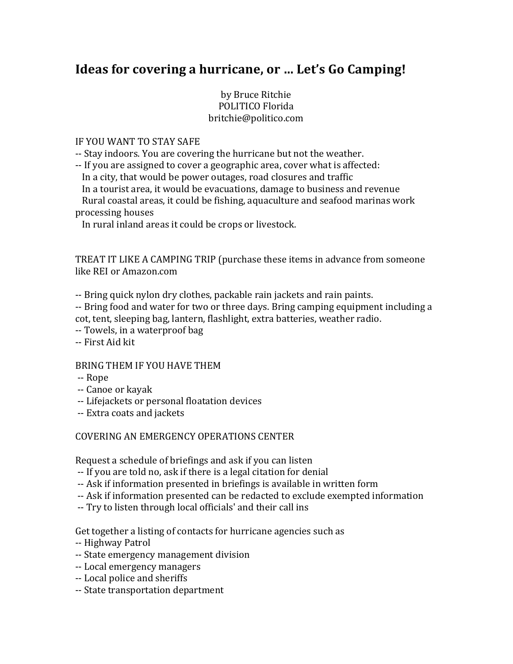# **Ideas for covering a hurricane, or ... Let's Go Camping!**

# by Bruce Ritchie POLITICO Florida britchie@politico.com

### IF YOU WANT TO STAY SAFE

-- Stay indoors. You are covering the hurricane but not the weather.

-- If you are assigned to cover a geographic area, cover what is affected:

In a city, that would be power outages, road closures and traffic

In a tourist area, it would be evacuations, damage to business and revenue Rural coastal areas, it could be fishing, aquaculture and seafood marinas work processing houses

In rural inland areas it could be crops or livestock.

TREAT IT LIKE A CAMPING TRIP (purchase these items in advance from someone like REI or Amazon.com

-- Bring quick nylon dry clothes, packable rain jackets and rain paints.

-- Bring food and water for two or three days. Bring camping equipment including a cot, tent, sleeping bag, lantern, flashlight, extra batteries, weather radio.

-- Towels, in a waterproof bag

-- First Aid kit

# BRING THEM IF YOU HAVE THEM

-- Rope

- -- Canoe or kayak
- -- Lifejackets or personal floatation devices
- -- Extra coats and jackets

# COVERING AN EMERGENCY OPERATIONS CENTER

Request a schedule of briefings and ask if you can listen

- -- If you are told no, ask if there is a legal citation for denial
- -- Ask if information presented in briefings is available in written form
- -- Ask if information presented can be redacted to exclude exempted information
- -- Try to listen through local officials' and their call ins

Get together a listing of contacts for hurricane agencies such as

- -- Highway Patrol
- -- State emergency management division
- -- Local emergency managers
- -- Local police and sheriffs
- -- State transportation department